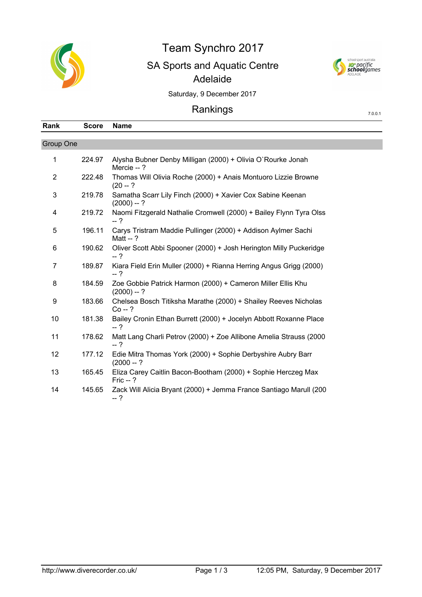

## Team Synchro 2017 SA Sports and Aquatic Centre Adelaide



7.0.0.1

Saturday, 9 December 2017

## Rankings

| Rank           | <b>Score</b> | <b>Name</b>                                                                  |
|----------------|--------------|------------------------------------------------------------------------------|
| Group One      |              |                                                                              |
| 1              | 224.97       | Alysha Bubner Denby Milligan (2000) + Olivia O'Rourke Jonah<br>Mercie --?    |
| 2              | 222.48       | Thomas Will Olivia Roche (2000) + Anais Montuoro Lizzie Browne<br>$(20 - ?)$ |
| 3              | 219.78       | Samatha Scarr Lily Finch (2000) + Xavier Cox Sabine Keenan<br>$(2000) - ?$   |
| 4              | 219.72       | Naomi Fitzgerald Nathalie Cromwell (2000) + Bailey Flynn Tyra Olss<br>$-2$   |
| 5              | 196.11       | Carys Tristram Maddie Pullinger (2000) + Addison Aylmer Sachi<br>Matt $-$ ?  |
| 6              | 190.62       | Oliver Scott Abbi Spooner (2000) + Josh Herington Milly Puckeridge<br>$-2$   |
| $\overline{7}$ | 189.87       | Kiara Field Erin Muller (2000) + Rianna Herring Angus Grigg (2000)<br>$-2$   |
| 8              | 184.59       | Zoe Gobbie Patrick Harmon (2000) + Cameron Miller Ellis Khu<br>$(2000) - ?$  |
| 9              | 183.66       | Chelsea Bosch Titiksha Marathe (2000) + Shailey Reeves Nicholas<br>$Co - ?$  |
| 10             | 181.38       | Bailey Cronin Ethan Burrett (2000) + Jocelyn Abbott Roxanne Place<br>$-2$    |
| 11             | 178.62       | Matt Lang Charli Petrov (2000) + Zoe Allibone Amelia Strauss (2000<br>$-2$   |
| 12             | 177.12       | Edie Mitra Thomas York (2000) + Sophie Derbyshire Aubry Barr<br>$(2000 - ?)$ |
| 13             | 165.45       | Eliza Carey Caitlin Bacon-Bootham (2000) + Sophie Herczeg Max<br>Fric $-$ ?  |
| 14             | 145.65       | Zack Will Alicia Bryant (2000) + Jemma France Santiago Marull (200<br>$-2$   |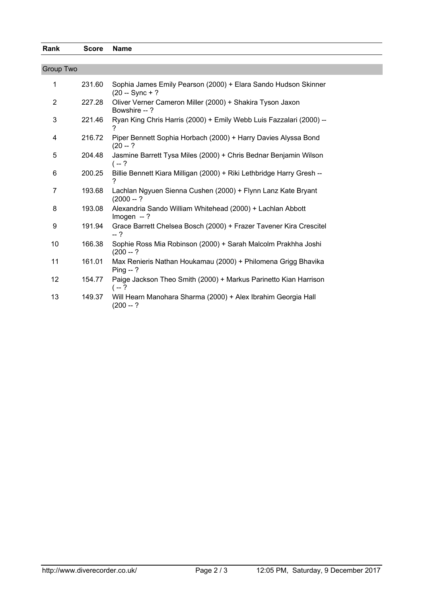| Rank             | <b>Score</b> | <b>Name</b>                                                                         |  |  |  |
|------------------|--------------|-------------------------------------------------------------------------------------|--|--|--|
|                  |              |                                                                                     |  |  |  |
| <b>Group Two</b> |              |                                                                                     |  |  |  |
| 1                | 231.60       | Sophia James Emily Pearson (2000) + Elara Sando Hudson Skinner<br>$(20 - Sync + ?)$ |  |  |  |
| $\overline{2}$   | 227.28       | Oliver Verner Cameron Miller (2000) + Shakira Tyson Jaxon<br>Bowshire --?           |  |  |  |
| $\mathbf{3}$     | 221.46       | Ryan King Chris Harris (2000) + Emily Webb Luis Fazzalari (2000) --<br>2            |  |  |  |
| 4                | 216.72       | Piper Bennett Sophia Horbach (2000) + Harry Davies Alyssa Bond<br>$(20 - ?)$        |  |  |  |
| 5                | 204.48       | Jasmine Barrett Tysa Miles (2000) + Chris Bednar Benjamin Wilson<br>$(-2)$          |  |  |  |
| 6                | 200.25       | Billie Bennett Kiara Milligan (2000) + Riki Lethbridge Harry Gresh --               |  |  |  |
| $\overline{7}$   | 193.68       | Lachlan Ngyuen Sienna Cushen (2000) + Flynn Lanz Kate Bryant<br>$(2000 - ?)$        |  |  |  |
| 8                | 193.08       | Alexandria Sando William Whitehead (2000) + Lachlan Abbott<br>Imogen $-$ ?          |  |  |  |
| 9                | 191.94       | Grace Barrett Chelsea Bosch (2000) + Frazer Tavener Kira Crescitel<br>$-2$          |  |  |  |
| 10               | 166.38       | Sophie Ross Mia Robinson (2000) + Sarah Malcolm Prakhha Joshi<br>$(200 - ?)$        |  |  |  |
| 11               | 161.01       | Max Renieris Nathan Houkamau (2000) + Philomena Grigg Bhavika<br>$Ping - ?$         |  |  |  |
| 12               | 154.77       | Paige Jackson Theo Smith (2000) + Markus Parinetto Kian Harrison<br>$(-2)$          |  |  |  |
| 13               | 149.37       | Will Hearn Manohara Sharma (2000) + Alex Ibrahim Georgia Hall<br>$(200 - ?)$        |  |  |  |